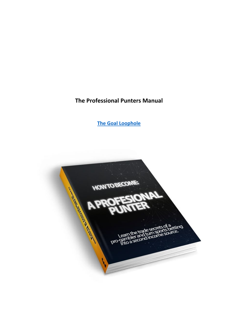**The Professional Punters Manual**

**[The Goal Loophole](https://www.goalloophole.com/join.html)**

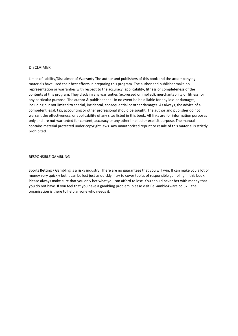#### DISCLAIMER

Limits of liability/Disclaimer of Warranty The author and publishers of this book and the accompanying materials have used their best efforts in preparing this program. The author and publisher make no representation or warranties with respect to the accuracy, applicability, fitness or completeness of the contents of this program. They disclaim any warranties (expressed or implied), merchantability or fitness for any particular purpose. The author & publisher shall in no event be held liable for any loss or damages, including but not limited to special, incidental, consequential or other damages. As always, the advice of a competent legal, tax, accounting or other professional should be sought. The author and publisher do not warrant the effectiveness, or applicability of any sites listed in this book. All links are for information purposes only and are not warranted for content, accuracy or any other implied or explicit purpose. The manual contains material protected under copyright laws. Any unauthorized reprint or resale of this material is strictly prohibited.

#### RESPONSIBLE GAMBLING

Sports Betting / Gambling is a risky industry. There are no guarantees that you will win. It can make you a lot of money very quickly but it can be lost just as quickly. I try to cover topics of responsible gambling in this book. Please always make sure that you only bet what you can afford to lose. You should never bet with money that you do not have. If you feel that you have a gambling problem, please visit BeGambleAware.co.uk – the organisation is there to help anyone who needs it.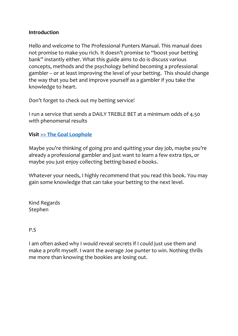#### **Introduction**

Hello and welcome to The Professional Punters Manual. This manual does not promise to make you rich. It doesn't promise to "boost your betting bank" instantly either. What this guide aims to do is discuss various concepts, methods and the psychology behind becoming a professional gambler – or at least improving the level of your betting. This should change the way that you bet and improve yourself as a gambler if you take the knowledge to heart.

Don't forget to check out my betting service!

I run a service that sends a DAILY TREBLE BET at a minimum odds of 4.50 with phenomenal results

#### **Visit [>> The Goal Loophole](https://www.goalloophole.com/join.html)**

Maybe you're thinking of going pro and quitting your day job, maybe you're already a professional gambler and just want to learn a few extra tips, or maybe you just enjoy collecting betting-based e-books.

Whatever your needs, I highly recommend that you read this book. You may gain some knowledge that can take your betting to the next level.

Kind Regards Stephen

#### P.S

I am often asked why I would reveal secrets if I could just use them and make a profit myself. I want the average Joe punter to win. Nothing thrills me more than knowing the bookies are losing out.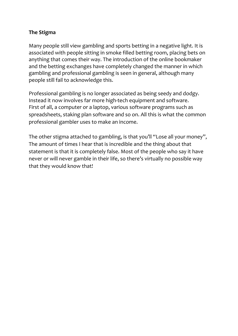## **The Stigma**

Many people still view gambling and sports betting in a negative light. It is associated with people sitting in smoke filled betting room, placing bets on anything that comes their way. The introduction of the online bookmaker and the betting exchanges have completely changed the manner in which gambling and professional gambling is seen in general, although many people still fail to acknowledge this.

Professional gambling is no longer associated as being seedy and dodgy. Instead it now involves far more high-tech equipment and software. First of all, a computer or a laptop, various software programs such as spreadsheets, staking plan software and so on. All this is what the common professional gambler uses to make an income.

The other stigma attached to gambling, is that you'll "Lose all your money", The amount of times I hear that is incredible and the thing about that statement is that it is completely false. Most of the people who say it have never or will never gamble in their life, so there's virtually no possible way that they would know that!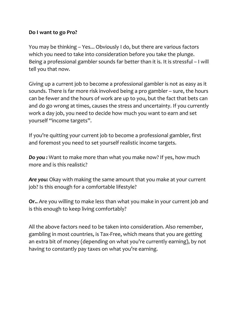#### **Do I want to go Pro?**

You may be thinking – Yes... Obviously I do, but there are various factors which you need to take into consideration before you take the plunge. Being a professional gambler sounds far better than it is. It is stressful – I will tell you that now.

Giving up a current job to become a professional gambler is not as easy as it sounds. There is far more risk involved being a pro gambler – sure, the hours can be fewer and the hours of work are up to you, but the fact that bets can and do go wrong at times, causes the stress and uncertainty. If you currently work a day job, you need to decide how much you want to earn and set yourself "income targets".

If you're quitting your current job to become a professional gambler, first and foremost you need to set yourself realistic income targets.

*Do you :* Want to make more than what you make now? If yes, how much more and is this realistic?

*Are you:* Okay with making the same amount that you make at your current job? Is this enough for a comfortable lifestyle?

**Or..** Are you willing to make less than what you make in your current job and is this enough to keep living comfortably?

All the above factors need to be taken into consideration. Also remember, gambling in most countries, is Tax-Free, which means that you are getting an extra bit of money (depending on what you're currently earning), by not having to constantly pay taxes on what you're earning.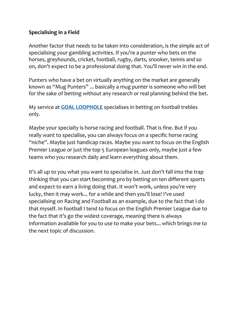### **Specialising in a Field**

Another factor that needs to be taken into consideration, is the simple act of specialising your gambling activities. If you're a punter who bets on the horses, greyhounds, cricket, football, rugby, darts, snooker, tennis and so on, don't expect to be a professional doing that. You'll never win in the end.

Punters who have a bet on virtually anything on the market are generally known as "Mug Punters" ... basically a mug punter is someone who will bet for the sake of betting without any research or real planning behind the bet.

My service at **[GOAL LOOPHOLE](https://www.goalloophole.com/join.html)** specialises in betting on football trebles only.

Maybe your specialty is horse racing and football. That is fine. But if you really want to specialise, you can always focus on a specific horse racing "niche". Maybe just handicap races. Maybe you want to focus on the English Premier League or just the top 5 European leagues only, maybe just a few teams who you research daily and learn everything about them.

It's all up to you what you want to specialise in. Just don't fall into the trap thinking that you can start becoming pro by betting on ten different sports and expect to earn a living doing that. It won't work, unless you're very lucky, then it may work... for a while and then you'll lose! I've used specialising on Racing and Football as an example, due to the fact that I do that myself. In football I tend to focus on the English Premier League due to the fact that it's go the widest coverage, meaning there is always information available for you to use to make your bets... which brings me to the next topic of discussion.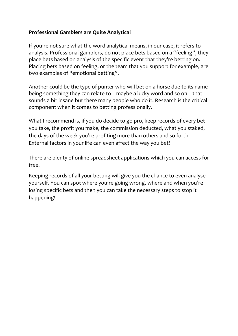## **Professional Gamblers are Quite Analytical**

If you're not sure what the word analytical means, in our case, it refers to analysis. Professional gamblers, do not place bets based on a "feeling", they place bets based on analysis of the specific event that they're betting on. Placing bets based on feeling, or the team that you support for example, are two examples of "emotional betting".

Another could be the type of punter who will bet on a horse due to its name being something they can relate to – maybe a lucky word and so on – that sounds a bit insane but there many people who do it. Research is the critical component when it comes to betting professionally.

What I recommend is, if you do decide to go pro, keep records of every bet you take, the profit you make, the commission deducted, what you staked, the days of the week you're profiting more than others and so forth. External factors in your life can even affect the way you bet!

There are plenty of online spreadsheet applications which you can access for free.

Keeping records of all your betting will give you the chance to even analyse yourself. You can spot where you're going wrong, where and when you're losing specific bets and then you can take the necessary steps to stop it happening!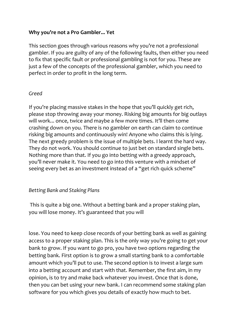#### **Why you're not a Pro Gambler... Yet**

This section goes through various reasons why you're not a professional gambler. If you are guilty of any of the following faults, then either you need to fix that specific fault or professional gambling is not for you. These are just a few of the concepts of the professional gambler, which you need to perfect in order to profit in the long term.

#### *Greed*

If you're placing massive stakes in the hope that you'll quickly get rich, please stop throwing away your money. Risking big amounts for big outlays will work... once, twice and maybe a few more times. It'll then come crashing down on you. There is no gambler on earth can claim to continue risking big amounts and continuously win! Anyone who claims this is lying. The next greedy problem is the issue of multiple bets. I learnt the hard way. They do not work. You should continue to just bet on standard single bets. Nothing more than that. If you go into betting with a greedy approach, you'll never make it. You need to go into this venture with a mindset of seeing every bet as an investment instead of a "get rich quick scheme"

#### *Betting Bank and Staking Plans*

This is quite a big one. Without a betting bank and a proper staking plan, you will lose money. It's guaranteed that you will

lose. You need to keep close records of your betting bank as well as gaining access to a proper staking plan. This is the only way you're going to get your bank to grow. If you want to go pro, you have two options regarding the betting bank. First option is to grow a small starting bank to a comfortable amount which you'll put to use. The second option is to invest a large sum into a betting account and start with that. Remember, the first aim, in my opinion, is to try and make back whatever you invest. Once that is done, then you can bet using your new bank. I can recommend some staking plan software for you which gives you details of exactly how much to bet.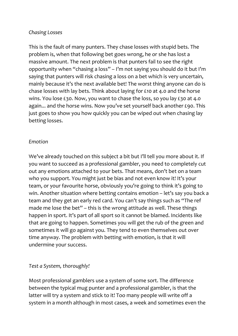#### *Chasing Losses*

This is the fault of many punters. They chase losses with stupid bets. The problem is, when that following bet goes wrong, he or she has lost a massive amount. The next problem is that punters fail to see the right opportunity when "chasing a loss" – I'm not saying you should do it but I'm saying that punters will risk chasing a loss on a bet which is very uncertain, mainly because it's the next available bet! The worst thing anyone can do is chase losses with lay bets. Think about laying for £10 at 4.0 and the horse wins. You lose £30. Now, you want to chase the loss, so you lay £30 at 4.0 again... and the horse wins. Now you've set yourself back another £90. This just goes to show you how quickly you can be wiped out when chasing lay betting losses.

#### *Emotion*

We've already touched on this subject a bit but I'll tell you more about it. If you want to succeed as a professional gambler, you need to completely cut out any emotions attached to your bets. That means, don't bet on a team who you support. You might just be bias and not even know it! It's your team, or your favourite horse, obviously you're going to think it's going to win. Another situation where betting contains emotion – let's say you back a team and they get an early red card. You can't say things such as "The ref made me lose the bet" – this is the wrong attitude as well. These things happen in sport. It's part of all sport so it cannot be blamed. Incidents like that are going to happen. Sometimes you will get the rub of the green and sometimes it will go against you. They tend to even themselves out over time anyway. The problem with betting with emotion, is that it will undermine your success.

#### *Test a System, thoroughly!*

Most professional gamblers use a system of some sort. The difference between the typical mug punter and a professional gambler, is that the latter will try a system and stick to it! Too many people will write off a system in a month although in most cases, a week and sometimes even the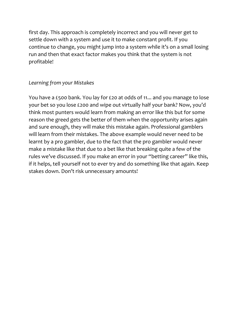first day. This approach is completely incorrect and you will never get to settle down with a system and use it to make constant profit. If you continue to change, you might jump into a system while it's on a small losing run and then that exact factor makes you think that the system is not profitable!

### *Learning from your Mistakes*

You have a £500 bank. You lay for £20 at odds of 11... and you manage to lose your bet so you lose £200 and wipe out virtually half your bank? Now, you'd think most punters would learn from making an error like this but for some reason the greed gets the better of them when the opportunity arises again and sure enough, they will make this mistake again. Professional gamblers will learn from their mistakes. The above example would never need to be learnt by a pro gambler, due to the fact that the pro gambler would never make a mistake like that due to a bet like that breaking quite a few of the rules we've discussed. If you make an error in your "betting career" like this, if it helps, tell yourself not to ever try and do something like that again. Keep stakes down. Don't risk unnecessary amounts!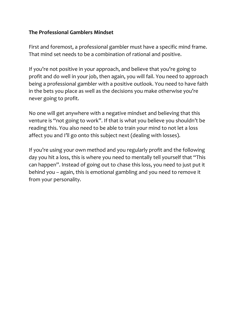#### **The Professional Gamblers Mindset**

First and foremost, a professional gambler must have a specific mind frame. That mind set needs to be a combination of rational and positive.

If you're not positive in your approach, and believe that you're going to profit and do well in your job, then again, you will fail. You need to approach being a professional gambler with a positive outlook. You need to have faith in the bets you place as well as the decisions you make otherwise you're never going to profit.

No one will get anywhere with a negative mindset and believing that this venture is "not going to work". If that is what you believe you shouldn't be reading this. You also need to be able to train your mind to not let a loss affect you and I'll go onto this subject next (dealing with losses).

If you're using your own method and you regularly profit and the following day you hit a loss, this is where you need to mentally tell yourself that "This can happen". Instead of going out to chase this loss, you need to just put it behind you – again, this is emotional gambling and you need to remove it from your personality.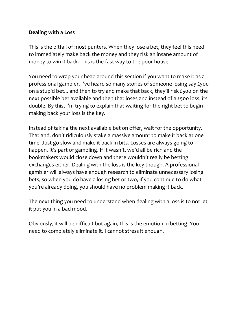#### **Dealing with a Loss**

This is the pitfall of most punters. When they lose a bet, they feel this need to immediately make back the money and they risk an insane amount of money to win it back. This is the fast way to the poor house.

You need to wrap your head around this section if you want to make it as a professional gambler. I've heard so many stories of someone losing say £500 on a stupid bet... and then to try and make that back, they'll risk £500 on the next possible bet available and then that loses and instead of a £500 loss, its double. By this, I'm trying to explain that waiting for the right bet to begin making back your loss is the key.

Instead of taking the next available bet on offer, wait for the opportunity. That and, don't ridiculously stake a massive amount to make it back at one time. Just go slow and make it back in bits. Losses are always going to happen. It's part of gambling. If it wasn't, we'd all be rich and the bookmakers would close down and there wouldn't really be betting exchanges either. Dealing with the loss is the key though. A professional gambler will always have enough research to eliminate unnecessary losing bets, so when you do have a losing bet or two, if you continue to do what you're already doing, you should have no problem making it back.

The next thing you need to understand when dealing with a loss is to not let it put you in a bad mood.

Obviously, it will be difficult but again, this is the emotion in betting. You need to completely eliminate it. I cannot stress it enough.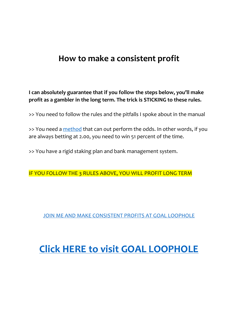## **How to make a consistent profit**

**I can absolutely guarantee that if you follow the steps below, you'll make profit as a gambler in the long term. The trick is STICKING to these rules.**

>> You need to follow the rules and the pitfalls I spoke about in the manual

>> You need a [method](https://www.goalloophole.com/join.html) that can out perform the odds. In other words, if you are always betting at 2.00, you need to win 51 percent of the time.

>> You have a rigid staking plan and bank management system.

IF YOU FOLLOW THE 3 RULES ABOVE, YOU WILL PROFIT LONG TERM

[JOIN ME AND MAKE CONSISTENT PROFITS AT GOAL LOOPHOLE](https://www.goalloophole.com/join.html)

# **[Click HERE to visit GOAL LOOPHOLE](https://www.goalloophole.com/join.html)**